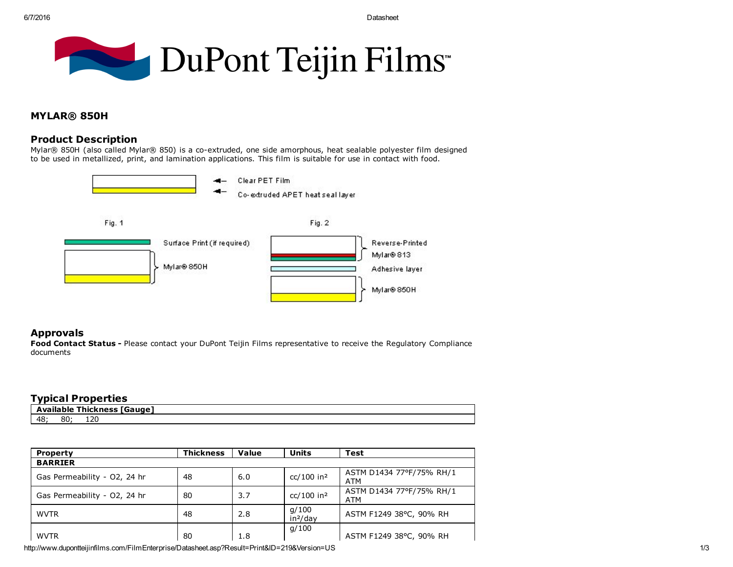

# MYLAR® 850H

# Product Description

Mylar® 850H (also called Mylar® 850) is a co-extruded, one side amorphous, heat sealable polyester film designed to be used in metallized, print, and lamination applications. This film is suitable for use in contact with food.



### Approvals

Food Contact Status - Please contact your DuPont Teijin Films representative to receive the Regulatory Compliance documents

## Typical Properties

| - -<br>ாக<br>Available<br>auura G<br>Thickness |                      |    |  |  |  |
|------------------------------------------------|----------------------|----|--|--|--|
| 48                                             | 0 <sub>n</sub><br>οu | ᆂᄼ |  |  |  |

| <b>Property</b>              | <b>Thickness</b> | Value | <b>Units</b>                  | Test                            |
|------------------------------|------------------|-------|-------------------------------|---------------------------------|
| <b>BARRIER</b>               |                  |       |                               |                                 |
| Gas Permeability - O2, 24 hr | 48               | 6.0   | $cc/100$ in <sup>2</sup>      | ASTM D1434 77°F/75% RH/1<br>ATM |
| Gas Permeability - O2, 24 hr | 80               | 3.7   | $cc/100$ in <sup>2</sup>      | ASTM D1434 77°F/75% RH/1<br>ATM |
| <b>WVTR</b>                  | 48               | 2.8   | q/100<br>in <sup>2</sup> /day | ASTM F1249 38°C, 90% RH         |
| <b>WVTR</b>                  | 80               | 1.8   | q/100                         | ASTM F1249 38°C, 90% RH         |

http://www.dupontteijinfilms.com/FilmEnterprise/Datasheet.asp?Result=Print&ID=219&Version=US 1/3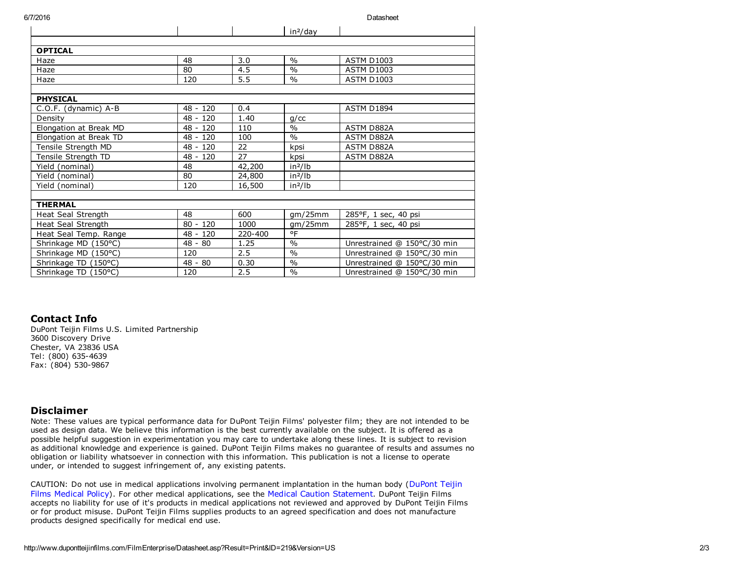6/7/2016 Datasheet

|                          |            |         | in <sup>2</sup> /day |                             |
|--------------------------|------------|---------|----------------------|-----------------------------|
|                          |            |         |                      |                             |
| <b>OPTICAL</b>           |            |         |                      |                             |
| Haze                     | 48         | 3.0     | $\frac{0}{0}$        | <b>ASTM D1003</b>           |
| Haze                     | 80         | 4.5     | $\frac{0}{0}$        | <b>ASTM D1003</b>           |
| Haze                     | 120        | 5.5     | $\frac{0}{0}$        | <b>ASTM D1003</b>           |
|                          |            |         |                      |                             |
| <b>PHYSICAL</b>          |            |         |                      |                             |
| $C.O.F.$ (dynamic) $A-B$ | $48 - 120$ | 0.4     |                      | <b>ASTM D1894</b>           |
| Density                  | $48 - 120$ | 1.40    | g/cc                 |                             |
| Elongation at Break MD   | $48 - 120$ | 110     | $\frac{0}{0}$        | ASTM D882A                  |
| Elongation at Break TD   | 48 - 120   | 100     | $\frac{0}{0}$        | ASTM D882A                  |
| Tensile Strength MD      | 48 - 120   | 22      | kpsi                 | ASTM D882A                  |
| Tensile Strength TD      | $48 - 120$ | 27      | kpsi                 | ASTM D882A                  |
| Yield (nominal)          | 48         | 42,200  | in <sup>2</sup> /lb  |                             |
| Yield (nominal)          | 80         | 24,800  | $in^2/lb$            |                             |
| Yield (nominal)          | 120        | 16,500  | $in^2/lb$            |                             |
|                          |            |         |                      |                             |
| <b>THERMAL</b>           |            |         |                      |                             |
| Heat Seal Strength       | 48         | 600     | gm/25mm              | 285°F, 1 sec, 40 psi        |
| Heat Seal Strength       | $80 - 120$ | 1000    | gm/25mm              | 285°F, 1 sec, 40 psi        |
| Heat Seal Temp. Range    | $48 - 120$ | 220-400 | °F                   |                             |
| Shrinkage MD (150°C)     | $48 - 80$  | 1.25    | $\frac{0}{0}$        | Unrestrained @ 150°C/30 min |
| Shrinkage MD (150°C)     | 120        | 2.5     | $\frac{0}{0}$        | Unrestrained @ 150°C/30 min |
| Shrinkage TD (150°C)     | $48 - 80$  | 0.30    | $\frac{0}{0}$        | Unrestrained @ 150°C/30 min |
| Shrinkage TD (150°C)     | 120        | 2.5     | $\frac{0}{0}$        | Unrestrained @ 150°C/30 min |

# Contact Info

DuPont Teijin Films U.S. Limited Partnership 3600 Discovery Drive Chester, VA 23836 USA Tel: (800) 635-4639 Fax: (804) 530-9867

### Disclaimer

Note: These values are typical performance data for DuPont Teijin Films' polyester film; they are not intended to be used as design data. We believe this information is the best currently available on the subject. It is offered as a possible helpful suggestion in experimentation you may care to undertake along these lines. It is subject to revision as additional knowledge and experience is gained. DuPont Teijin Films makes no guarantee of results and assumes no obligation or liability whatsoever in connection with this information. This publication is not a license to operate under, or intended to suggest infringement of, any existing patents.

CAUTION: Do not use in medical applications involving permanent [implantation](http://www.dupontteijinfilms.com/corporate/common/H50103-1-DTF.htm) in the human body (DuPont Teijin Films Medical Policy). For other medical applications, see the Medical Caution [Statement](http://www.dupontteijinfilms.com/corporate/common/H50102-1-DTF.htm). DuPont Teijin Films accepts no liability for use of it's products in medical applications not reviewed and approved by DuPont Teijin Films or for product misuse. DuPont Teijin Films supplies products to an agreed specification and does not manufacture products designed specifically for medical end use.